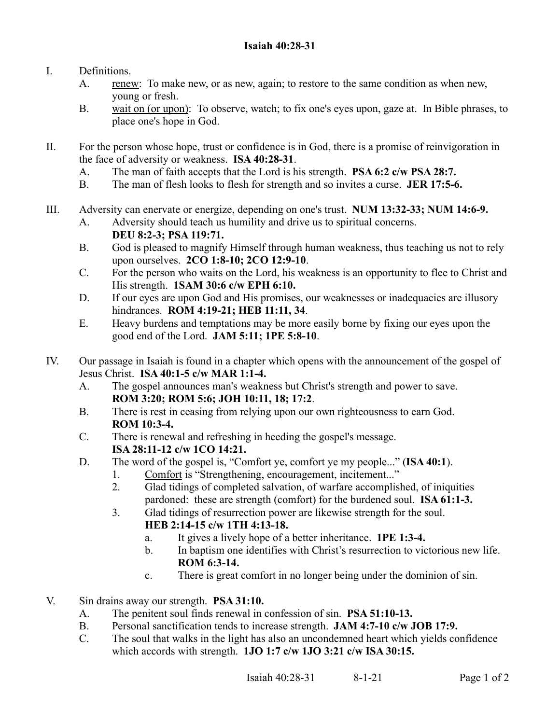- I. Definitions.
	- A. renew: To make new, or as new, again; to restore to the same condition as when new, young or fresh.
	- B. wait on (or upon): To observe, watch; to fix one's eyes upon, gaze at. In Bible phrases, to place one's hope in God.
- II. For the person whose hope, trust or confidence is in God, there is a promise of reinvigoration in the face of adversity or weakness. **ISA 40:28-31**.
	- A. The man of faith accepts that the Lord is his strength. **PSA 6:2 c/w PSA 28:7.**
	- B. The man of flesh looks to flesh for strength and so invites a curse. **JER 17:5-6.**
- III. Adversity can enervate or energize, depending on one's trust. **NUM 13:32-33; NUM 14:6-9.**
	- A. Adversity should teach us humility and drive us to spiritual concerns. **DEU 8:2-3; PSA 119:71.**
	- B. God is pleased to magnify Himself through human weakness, thus teaching us not to rely upon ourselves. **2CO 1:8-10; 2CO 12:9-10**.
	- C. For the person who waits on the Lord, his weakness is an opportunity to flee to Christ and His strength. **1SAM 30:6 c/w EPH 6:10.**
	- D. If our eyes are upon God and His promises, our weaknesses or inadequacies are illusory hindrances. **ROM 4:19-21; HEB 11:11, 34**.
	- E. Heavy burdens and temptations may be more easily borne by fixing our eyes upon the good end of the Lord. **JAM 5:11; 1PE 5:8-10**.
- IV. Our passage in Isaiah is found in a chapter which opens with the announcement of the gospel of Jesus Christ. **ISA 40:1-5 c/w MAR 1:1-4.**
	- A. The gospel announces man's weakness but Christ's strength and power to save. **ROM 3:20; ROM 5:6; JOH 10:11, 18; 17:2**.
	- B. There is rest in ceasing from relying upon our own righteousness to earn God. **ROM 10:3-4.**
	- C. There is renewal and refreshing in heeding the gospel's message. **ISA 28:11-12 c/w 1CO 14:21.**
	- D. The word of the gospel is, "Comfort ye, comfort ye my people..." (**ISA 40:1**).
		- 1. Comfort is "Strengthening, encouragement, incitement..."
		- 2. Glad tidings of completed salvation, of warfare accomplished, of iniquities pardoned: these are strength (comfort) for the burdened soul. **ISA 61:1-3.**
		- 3. Glad tidings of resurrection power are likewise strength for the soul.
			- **HEB 2:14-15 c/w 1TH 4:13-18.**
				- a. It gives a lively hope of a better inheritance. **1PE 1:3-4.**
			- b. In baptism one identifies with Christ's resurrection to victorious new life. **ROM 6:3-14.**
			- c. There is great comfort in no longer being under the dominion of sin.
- V. Sin drains away our strength. **PSA 31:10.**
	- A. The penitent soul finds renewal in confession of sin. **PSA 51:10-13.**
	- B. Personal sanctification tends to increase strength. **JAM 4:7-10 c/w JOB 17:9.**
	- C. The soul that walks in the light has also an uncondemned heart which yields confidence which accords with strength. **1JO 1:7 c/w 1JO 3:21 c/w ISA 30:15.**